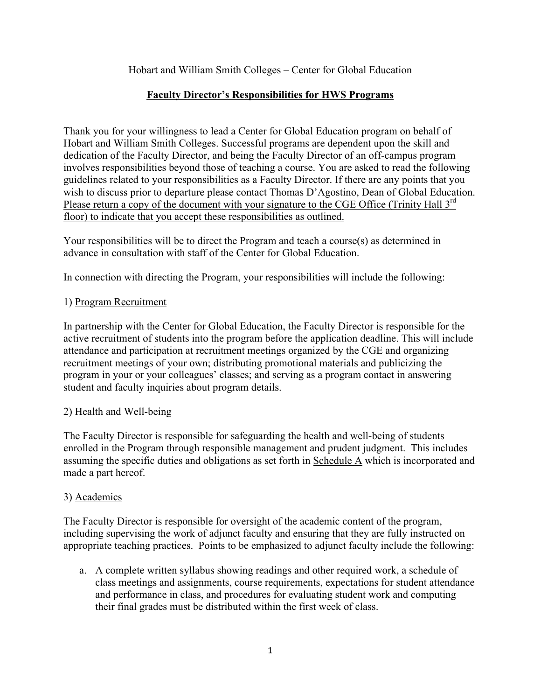Hobart and William Smith Colleges – Center for Global Education

# **Faculty Director's Responsibilities for HWS Programs**

Thank you for your willingness to lead a Center for Global Education program on behalf of Hobart and William Smith Colleges. Successful programs are dependent upon the skill and dedication of the Faculty Director, and being the Faculty Director of an off-campus program involves responsibilities beyond those of teaching a course. You are asked to read the following guidelines related to your responsibilities as a Faculty Director. If there are any points that you wish to discuss prior to departure please contact Thomas D'Agostino, Dean of Global Education. Please return a copy of the document with your signature to the CGE Office (Trinity Hall 3<sup>rd</sup>) floor) to indicate that you accept these responsibilities as outlined.

Your responsibilities will be to direct the Program and teach a course(s) as determined in advance in consultation with staff of the Center for Global Education.

In connection with directing the Program, your responsibilities will include the following:

# 1) Program Recruitment

In partnership with the Center for Global Education, the Faculty Director is responsible for the active recruitment of students into the program before the application deadline. This will include attendance and participation at recruitment meetings organized by the CGE and organizing recruitment meetings of your own; distributing promotional materials and publicizing the program in your or your colleagues' classes; and serving as a program contact in answering student and faculty inquiries about program details.

# 2) Health and Well-being

The Faculty Director is responsible for safeguarding the health and well-being of students enrolled in the Program through responsible management and prudent judgment. This includes assuming the specific duties and obligations as set forth in Schedule A which is incorporated and made a part hereof.

# 3) Academics

The Faculty Director is responsible for oversight of the academic content of the program, including supervising the work of adjunct faculty and ensuring that they are fully instructed on appropriate teaching practices. Points to be emphasized to adjunct faculty include the following:

a. A complete written syllabus showing readings and other required work, a schedule of class meetings and assignments, course requirements, expectations for student attendance and performance in class, and procedures for evaluating student work and computing their final grades must be distributed within the first week of class.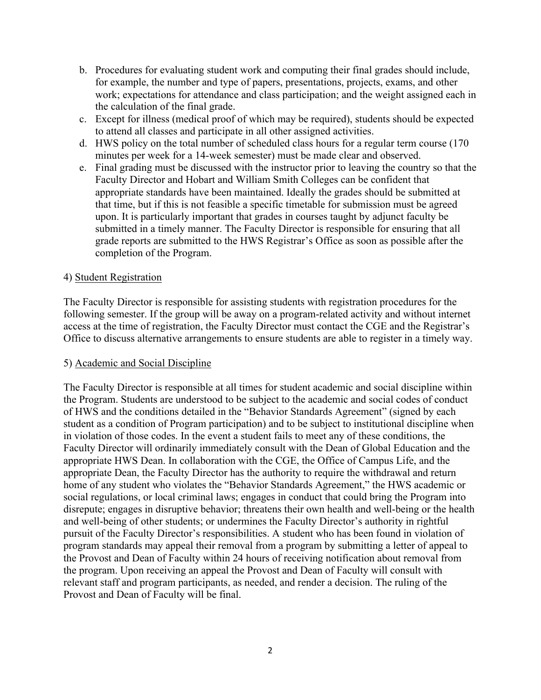- b. Procedures for evaluating student work and computing their final grades should include, for example, the number and type of papers, presentations, projects, exams, and other work; expectations for attendance and class participation; and the weight assigned each in the calculation of the final grade.
- c. Except for illness (medical proof of which may be required), students should be expected to attend all classes and participate in all other assigned activities.
- d. HWS policy on the total number of scheduled class hours for a regular term course (170 minutes per week for a 14-week semester) must be made clear and observed.
- e. Final grading must be discussed with the instructor prior to leaving the country so that the Faculty Director and Hobart and William Smith Colleges can be confident that appropriate standards have been maintained. Ideally the grades should be submitted at that time, but if this is not feasible a specific timetable for submission must be agreed upon. It is particularly important that grades in courses taught by adjunct faculty be submitted in a timely manner. The Faculty Director is responsible for ensuring that all grade reports are submitted to the HWS Registrar's Office as soon as possible after the completion of the Program.

#### 4) Student Registration

The Faculty Director is responsible for assisting students with registration procedures for the following semester. If the group will be away on a program-related activity and without internet access at the time of registration, the Faculty Director must contact the CGE and the Registrar's Office to discuss alternative arrangements to ensure students are able to register in a timely way.

#### 5) Academic and Social Discipline

The Faculty Director is responsible at all times for student academic and social discipline within the Program. Students are understood to be subject to the academic and social codes of conduct of HWS and the conditions detailed in the "Behavior Standards Agreement" (signed by each student as a condition of Program participation) and to be subject to institutional discipline when in violation of those codes. In the event a student fails to meet any of these conditions, the Faculty Director will ordinarily immediately consult with the Dean of Global Education and the appropriate HWS Dean. In collaboration with the CGE, the Office of Campus Life, and the appropriate Dean, the Faculty Director has the authority to require the withdrawal and return home of any student who violates the "Behavior Standards Agreement," the HWS academic or social regulations, or local criminal laws; engages in conduct that could bring the Program into disrepute; engages in disruptive behavior; threatens their own health and well-being or the health and well-being of other students; or undermines the Faculty Director's authority in rightful pursuit of the Faculty Director's responsibilities. A student who has been found in violation of program standards may appeal their removal from a program by submitting a letter of appeal to the Provost and Dean of Faculty within 24 hours of receiving notification about removal from the program. Upon receiving an appeal the Provost and Dean of Faculty will consult with relevant staff and program participants, as needed, and render a decision. The ruling of the Provost and Dean of Faculty will be final.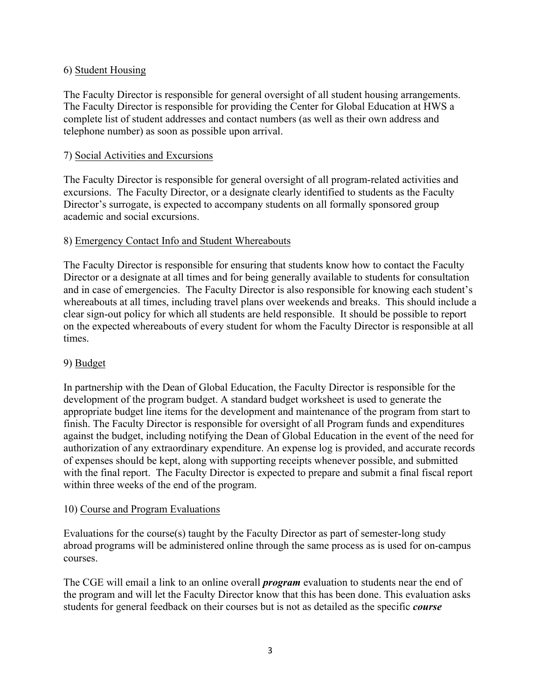## 6) Student Housing

The Faculty Director is responsible for general oversight of all student housing arrangements. The Faculty Director is responsible for providing the Center for Global Education at HWS a complete list of student addresses and contact numbers (as well as their own address and telephone number) as soon as possible upon arrival.

### 7) Social Activities and Excursions

The Faculty Director is responsible for general oversight of all program-related activities and excursions. The Faculty Director, or a designate clearly identified to students as the Faculty Director's surrogate, is expected to accompany students on all formally sponsored group academic and social excursions.

### 8) Emergency Contact Info and Student Whereabouts

The Faculty Director is responsible for ensuring that students know how to contact the Faculty Director or a designate at all times and for being generally available to students for consultation and in case of emergencies. The Faculty Director is also responsible for knowing each student's whereabouts at all times, including travel plans over weekends and breaks. This should include a clear sign-out policy for which all students are held responsible. It should be possible to report on the expected whereabouts of every student for whom the Faculty Director is responsible at all times.

#### 9) Budget

In partnership with the Dean of Global Education, the Faculty Director is responsible for the development of the program budget. A standard budget worksheet is used to generate the appropriate budget line items for the development and maintenance of the program from start to finish. The Faculty Director is responsible for oversight of all Program funds and expenditures against the budget, including notifying the Dean of Global Education in the event of the need for authorization of any extraordinary expenditure. An expense log is provided, and accurate records of expenses should be kept, along with supporting receipts whenever possible, and submitted with the final report. The Faculty Director is expected to prepare and submit a final fiscal report within three weeks of the end of the program.

#### 10) Course and Program Evaluations

Evaluations for the course(s) taught by the Faculty Director as part of semester-long study abroad programs will be administered online through the same process as is used for on-campus courses.

The CGE will email a link to an online overall *program* evaluation to students near the end of the program and will let the Faculty Director know that this has been done. This evaluation asks students for general feedback on their courses but is not as detailed as the specific *course*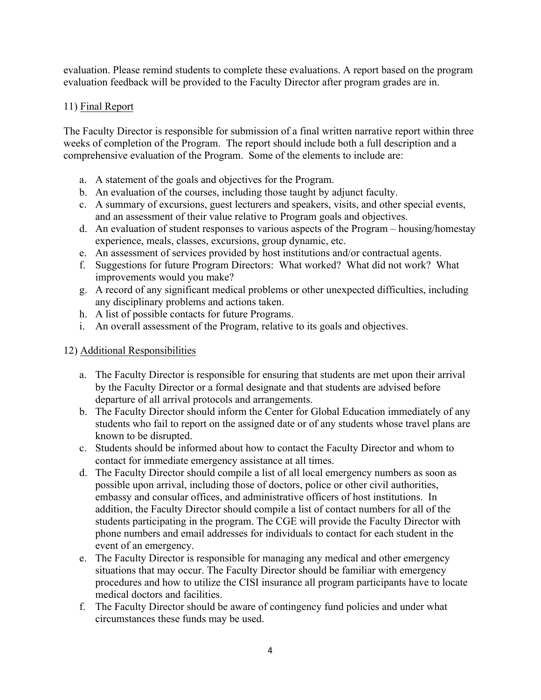evaluation. Please remind students to complete these evaluations. A report based on the program evaluation feedback will be provided to the Faculty Director after program grades are in.

## 11) Final Report

The Faculty Director is responsible for submission of a final written narrative report within three weeks of completion of the Program. The report should include both a full description and a comprehensive evaluation of the Program. Some of the elements to include are:

- a. A statement of the goals and objectives for the Program.
- b. An evaluation of the courses, including those taught by adjunct faculty.
- c. A summary of excursions, guest lecturers and speakers, visits, and other special events, and an assessment of their value relative to Program goals and objectives.
- d. An evaluation of student responses to various aspects of the Program housing/homestay experience, meals, classes, excursions, group dynamic, etc.
- e. An assessment of services provided by host institutions and/or contractual agents.
- f. Suggestions for future Program Directors: What worked? What did not work? What improvements would you make?
- g. A record of any significant medical problems or other unexpected difficulties, including any disciplinary problems and actions taken.
- h. A list of possible contacts for future Programs.
- i. An overall assessment of the Program, relative to its goals and objectives.

## 12) Additional Responsibilities

- a. The Faculty Director is responsible for ensuring that students are met upon their arrival by the Faculty Director or a formal designate and that students are advised before departure of all arrival protocols and arrangements.
- b. The Faculty Director should inform the Center for Global Education immediately of any students who fail to report on the assigned date or of any students whose travel plans are known to be disrupted.
- c. Students should be informed about how to contact the Faculty Director and whom to contact for immediate emergency assistance at all times.
- d. The Faculty Director should compile a list of all local emergency numbers as soon as possible upon arrival, including those of doctors, police or other civil authorities, embassy and consular offices, and administrative officers of host institutions. In addition, the Faculty Director should compile a list of contact numbers for all of the students participating in the program. The CGE will provide the Faculty Director with phone numbers and email addresses for individuals to contact for each student in the event of an emergency.
- e. The Faculty Director is responsible for managing any medical and other emergency situations that may occur. The Faculty Director should be familiar with emergency procedures and how to utilize the CISI insurance all program participants have to locate medical doctors and facilities.
- f. The Faculty Director should be aware of contingency fund policies and under what circumstances these funds may be used.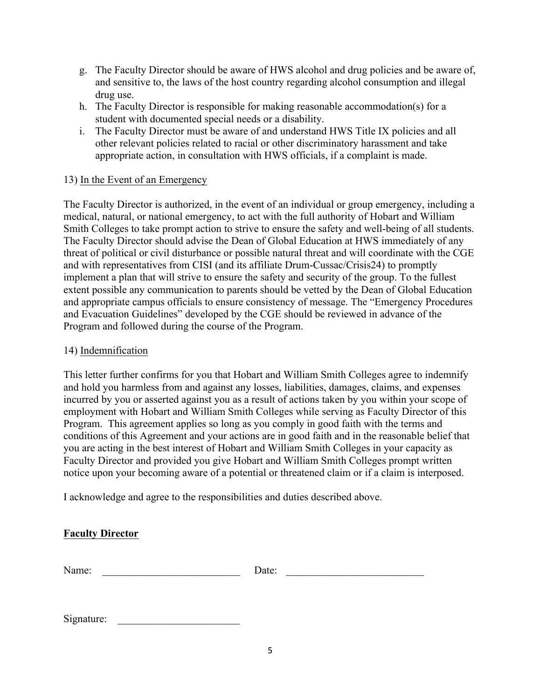- g. The Faculty Director should be aware of HWS alcohol and drug policies and be aware of, and sensitive to, the laws of the host country regarding alcohol consumption and illegal drug use.
- h. The Faculty Director is responsible for making reasonable accommodation(s) for a student with documented special needs or a disability.
- i. The Faculty Director must be aware of and understand HWS Title IX policies and all other relevant policies related to racial or other discriminatory harassment and take appropriate action, in consultation with HWS officials, if a complaint is made.

## 13) In the Event of an Emergency

The Faculty Director is authorized, in the event of an individual or group emergency, including a medical, natural, or national emergency, to act with the full authority of Hobart and William Smith Colleges to take prompt action to strive to ensure the safety and well-being of all students. The Faculty Director should advise the Dean of Global Education at HWS immediately of any threat of political or civil disturbance or possible natural threat and will coordinate with the CGE and with representatives from CISI (and its affiliate Drum-Cussac/Crisis24) to promptly implement a plan that will strive to ensure the safety and security of the group. To the fullest extent possible any communication to parents should be vetted by the Dean of Global Education and appropriate campus officials to ensure consistency of message. The "Emergency Procedures and Evacuation Guidelines" developed by the CGE should be reviewed in advance of the Program and followed during the course of the Program.

### 14) Indemnification

This letter further confirms for you that Hobart and William Smith Colleges agree to indemnify and hold you harmless from and against any losses, liabilities, damages, claims, and expenses incurred by you or asserted against you as a result of actions taken by you within your scope of employment with Hobart and William Smith Colleges while serving as Faculty Director of this Program. This agreement applies so long as you comply in good faith with the terms and conditions of this Agreement and your actions are in good faith and in the reasonable belief that you are acting in the best interest of Hobart and William Smith Colleges in your capacity as Faculty Director and provided you give Hobart and William Smith Colleges prompt written notice upon your becoming aware of a potential or threatened claim or if a claim is interposed.

I acknowledge and agree to the responsibilities and duties described above.

## **Faculty Director**

| Name: | Date: |  |
|-------|-------|--|
|       |       |  |

Signature: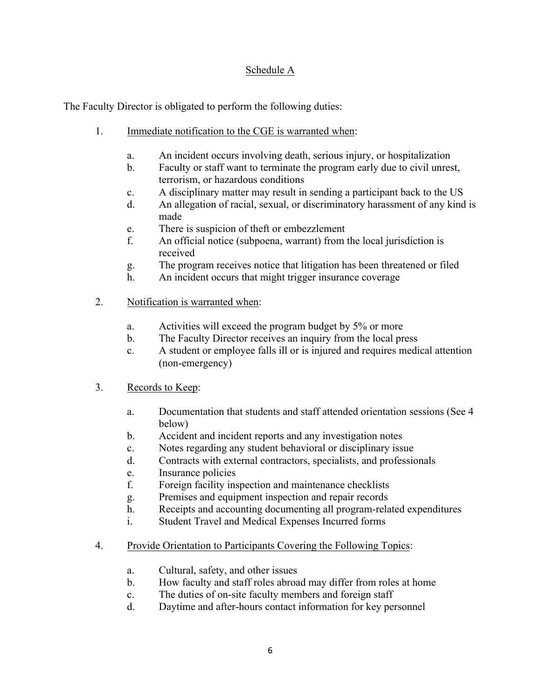## Schedule A

The Faculty Director is obligated to perform the following duties:

- 1. Immediate notification to the CGE is warranted when:
	- a. An incident occurs involving death, serious injury, or hospitalization
	- b. Faculty or staff want to terminate the program early due to civil unrest, terrorism, or hazardous conditions
	- c. A disciplinary matter may result in sending a participant back to the US
	- d. An allegation of racial, sexual, or discriminatory harassment of any kind is made
	- e. There is suspicion of theft or embezzlement
	- f. An official notice (subpoena, warrant) from the local jurisdiction is received
	- g. The program receives notice that litigation has been threatened or filed
	- h. An incident occurs that might trigger insurance coverage
- 2. Notification is warranted when:
	- a. Activities will exceed the program budget by 5% or more
	- b. The Faculty Director receives an inquiry from the local press
	- c. A student or employee falls ill or is injured and requires medical attention (non-emergency)
- 3. Records to Keep:
	- a. Documentation that students and staff attended orientation sessions (See 4 below)
	- b. Accident and incident reports and any investigation notes
	- c. Notes regarding any student behavioral or disciplinary issue
	- d. Contracts with external contractors, specialists, and professionals
	- e. Insurance policies
	- f. Foreign facility inspection and maintenance checklists
	- g. Premises and equipment inspection and repair records
	- h. Receipts and accounting documenting all program-related expenditures
	- i. Student Travel and Medical Expenses Incurred forms
- 4. Provide Orientation to Participants Covering the Following Topics:
	- a. Cultural, safety, and other issues
	- b. How faculty and staff roles abroad may differ from roles at home
	- c. The duties of on-site faculty members and foreign staff
	- d. Daytime and after-hours contact information for key personnel